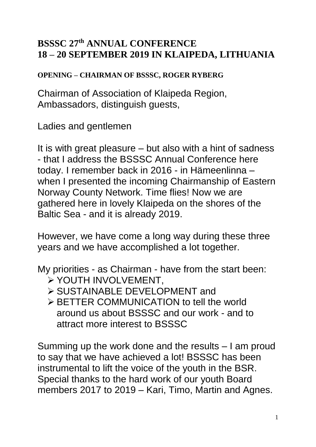## **BSSSC 27th ANNUAL CONFERENCE 18 – 20 SEPTEMBER 2019 IN KLAIPEDA, LITHUANIA**

**OPENING – CHAIRMAN OF BSSSC, ROGER RYBERG**

Chairman of Association of Klaipeda Region, Ambassadors, distinguish guests,

Ladies and gentlemen

It is with great pleasure – but also with a hint of sadness - that I address the BSSSC Annual Conference here today. I remember back in 2016 - in Hämeenlinna – when I presented the incoming Chairmanship of Eastern Norway County Network. Time flies! Now we are gathered here in lovely Klaipeda on the shores of the Baltic Sea - and it is already 2019.

However, we have come a long way during these three years and we have accomplished a lot together.

My priorities - as Chairman - have from the start been:

- ➢ YOUTH INVOLVEMENT,
- ➢ SUSTAINABLE DEVELOPMENT and
- ➢ BETTER COMMUNICATION to tell the world around us about BSSSC and our work - and to attract more interest to BSSSC

Summing up the work done and the results – I am proud to say that we have achieved a lot! BSSSC has been instrumental to lift the voice of the youth in the BSR. Special thanks to the hard work of our youth Board members 2017 to 2019 – Kari, Timo, Martin and Agnes.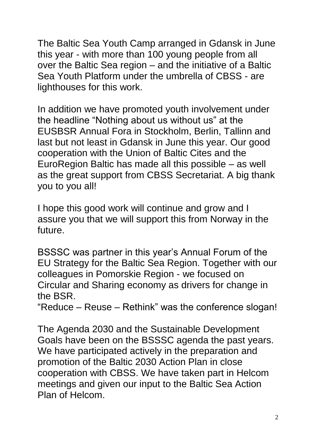The Baltic Sea Youth Camp arranged in Gdansk in June this year - with more than 100 young people from all over the Baltic Sea region – and the initiative of a Baltic Sea Youth Platform under the umbrella of CBSS - are lighthouses for this work.

In addition we have promoted youth involvement under the headline "Nothing about us without us" at the EUSBSR Annual Fora in Stockholm, Berlin, Tallinn and last but not least in Gdansk in June this year. Our good cooperation with the Union of Baltic Cites and the EuroRegion Baltic has made all this possible – as well as the great support from CBSS Secretariat. A big thank you to you all!

I hope this good work will continue and grow and I assure you that we will support this from Norway in the future.

BSSSC was partner in this year's Annual Forum of the EU Strategy for the Baltic Sea Region. Together with our colleagues in Pomorskie Region - we focused on Circular and Sharing economy as drivers for change in the BSR.

"Reduce – Reuse – Rethink" was the conference slogan!

The Agenda 2030 and the Sustainable Development Goals have been on the BSSSC agenda the past years. We have participated actively in the preparation and promotion of the Baltic 2030 Action Plan in close cooperation with CBSS. We have taken part in Helcom meetings and given our input to the Baltic Sea Action Plan of Helcom.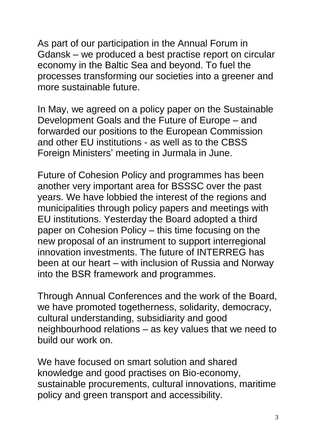As part of our participation in the Annual Forum in Gdansk – we produced a best practise report on circular economy in the Baltic Sea and beyond. To fuel the processes transforming our societies into a greener and more sustainable future.

In May, we agreed on a policy paper on the Sustainable Development Goals and the Future of Europe – and forwarded our positions to the European Commission and other EU institutions - as well as to the CBSS Foreign Ministers' meeting in Jurmala in June.

Future of Cohesion Policy and programmes has been another very important area for BSSSC over the past years. We have lobbied the interest of the regions and municipalities through policy papers and meetings with EU institutions. Yesterday the Board adopted a third paper on Cohesion Policy – this time focusing on the new proposal of an instrument to support interregional innovation investments. The future of INTERREG has been at our heart – with inclusion of Russia and Norway into the BSR framework and programmes.

Through Annual Conferences and the work of the Board, we have promoted togetherness, solidarity, democracy, cultural understanding, subsidiarity and good neighbourhood relations – as key values that we need to build our work on.

We have focused on smart solution and shared knowledge and good practises on Bio-economy, sustainable procurements, cultural innovations, maritime policy and green transport and accessibility.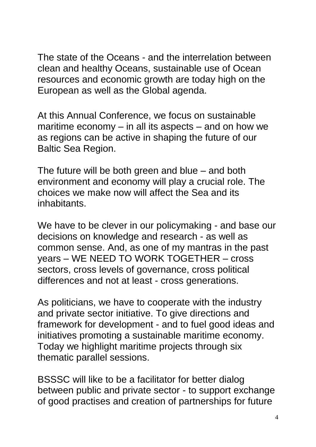The state of the Oceans - and the interrelation between clean and healthy Oceans, sustainable use of Ocean resources and economic growth are today high on the European as well as the Global agenda.

At this Annual Conference, we focus on sustainable maritime economy – in all its aspects – and on how we as regions can be active in shaping the future of our Baltic Sea Region.

The future will be both green and blue – and both environment and economy will play a crucial role. The choices we make now will affect the Sea and its inhabitants.

We have to be clever in our policymaking - and base our decisions on knowledge and research - as well as common sense. And, as one of my mantras in the past years – WE NEED TO WORK TOGETHER – cross sectors, cross levels of governance, cross political differences and not at least - cross generations.

As politicians, we have to cooperate with the industry and private sector initiative. To give directions and framework for development - and to fuel good ideas and initiatives promoting a sustainable maritime economy. Today we highlight maritime projects through six thematic parallel sessions.

BSSSC will like to be a facilitator for better dialog between public and private sector - to support exchange of good practises and creation of partnerships for future